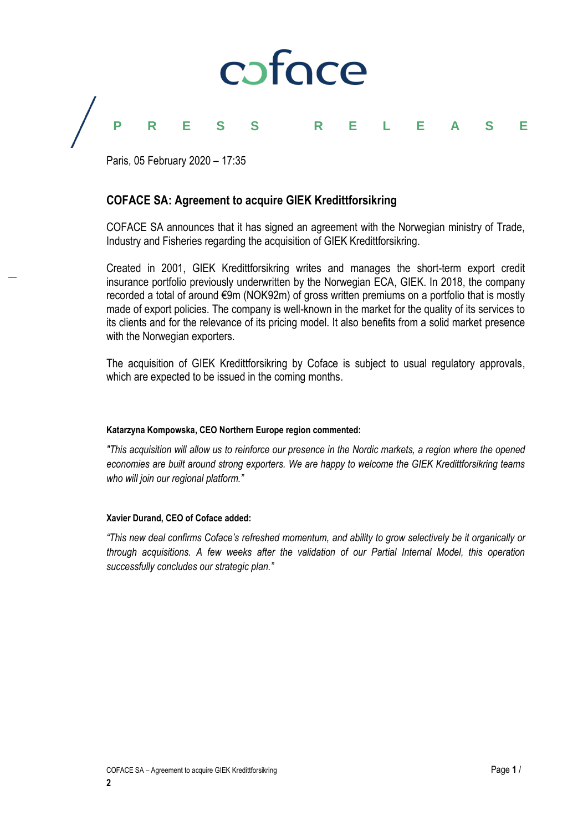

## **PRESS RELEASE**

Paris, 05 February 2020 – 17:35

### **COFACE SA: Agreement to acquire GIEK Kredittforsikring**

COFACE SA announces that it has signed an agreement with the Norwegian ministry of Trade, Industry and Fisheries regarding the acquisition of GIEK Kredittforsikring.

Created in 2001, GIEK Kredittforsikring writes and manages the short-term export credit insurance portfolio previously underwritten by the Norwegian ECA, GIEK. In 2018, the company recorded a total of around €9m (NOK92m) of gross written premiums on a portfolio that is mostly made of export policies. The company is well-known in the market for the quality of its services to its clients and for the relevance of its pricing model. It also benefits from a solid market presence with the Norwegian exporters.

The acquisition of GIEK Kredittforsikring by Coface is subject to usual regulatory approvals, which are expected to be issued in the coming months.

#### **Katarzyna Kompowska, CEO Northern Europe region commented:**

*"This acquisition will allow us to reinforce our presence in the Nordic markets, a region where the opened economies are built around strong exporters. We are happy to welcome the GIEK Kredittforsikring teams who will join our regional platform."*

#### **Xavier Durand, CEO of Coface added:**

*"This new deal confirms Coface's refreshed momentum, and ability to grow selectively be it organically or through acquisitions. A few weeks after the validation of our Partial Internal Model, this operation successfully concludes our strategic plan."*